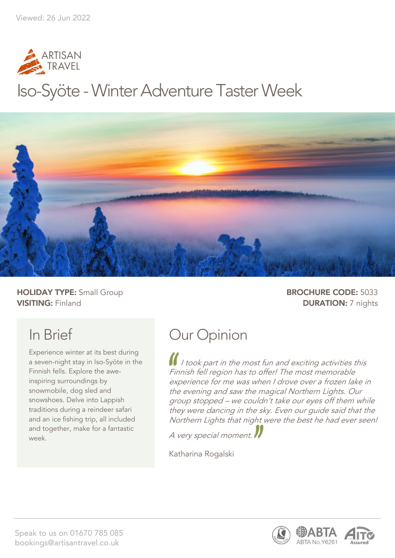

## Iso-Syöte - Winter Adventure Taster Week



**HOLIDAY TYPE:** Small Group **BROCHURE CODE:** 5033 **VISITING:** Finland **DURATION:** 7 nights

## In Brief

Experience winter at its best during a seven-night stay in Iso-Syöte in the Finnish fells. Explore the aweinspiring surroundings by snowmobile, dog sled and snowshoes. Delve into Lappish traditions during a reindeer safari and an ice fishing trip, all included and together, make for a fantastic week.

## Our Opinion

I I took part in the most fun and exciting activities this Finnish fell region has to offer! The most memorable experience for me was when I drove over a frozen lake in the evening and saw the magical Northern Lights. Our group stopped – we couldn't take our eyes off them while they were dancing in the sky. Even our guide said that the Northern Lights that night were the best he had ever seen!

A very special moment.

Katharina Rogalski

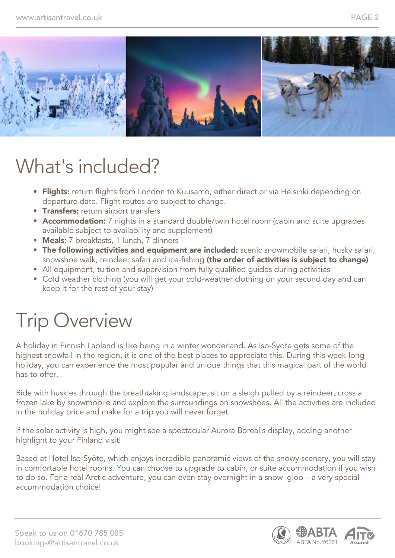

## What's included?

- Flights: return flights from London to Kuusamo, either direct or via Helsinki depending on departure date. Flight routes are subject to change.
- **Transfers:** return airport transfers
- Accommodation: 7 nights in a standard double/twin hotel room (cabin and suite upgrades available subject to availability and supplement)
- Meals: 7 breakfasts, 1 lunch, 7 dinners
- The following activities and equipment are included: scenic snowmobile safari, husky safari, snowshoe walk, reindeer safari and ice-fishing (the order of activities is subject to change)
- All equipment, tuition and supervision from fully qualified guides during activities
- Cold weather clothing (you will get your cold-weather clothing on your second day and can keep it for the rest of your stay)

## Trip Overview

A holiday in Finnish Lapland is like being in a winter wonderland. As Iso-Syote gets some of the highest snowfall in the region, it is one of the best places to appreciate this. During this week-long holiday, you can experience the most popular and unique things that this magical part of the world has to offer.

Ride with huskies through the breathtaking landscape, sit on a sleigh pulled by a reindeer, cross a frozen lake by snowmobile and explore the surroundings on snowshoes. All the activities are included in the holiday price and make for a trip you will never forget.

If the solar activity is high, you might see a spectacular Aurora Borealis display, adding another highlight to your Finland visit!

Based at Hotel Iso-Syöte, which enjoys incredible panoramic views of the snowy scenery, you will stay in comfortable hotel rooms. You can choose to upgrade to cabin, or suite accommodation if you wish to do so. For a real Arctic adventure, you can even stay overnight in a snow igloo – a very special accommodation choice!

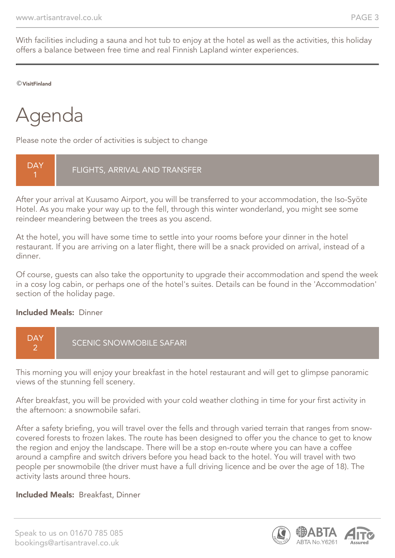With facilities including a sauna and hot tub to enjoy at the hotel as well as the activities, this holiday offers a balance between free time and real Finnish Lapland winter experiences.

©VisitFinland

## Agenda

Please note the order of activities is subject to change



After your arrival at Kuusamo Airport, you will be transferred to your accommodation, the Iso-Syöte Hotel. As you make your way up to the fell, through this winter wonderland, you might see some reindeer meandering between the trees as you ascend.

At the hotel, you will have some time to settle into your rooms before your dinner in the hotel restaurant. If you are arriving on a later flight, there will be a snack provided on arrival, instead of a dinner.

Of course, guests can also take the opportunity to upgrade their accommodation and spend the week in a cosy log cabin, or perhaps one of the hotel's suites. Details can be found in the 'Accommodation' section of the holiday page.

#### Included Meals: Dinner



This morning you will enjoy your breakfast in the hotel restaurant and will get to glimpse panoramic views of the stunning fell scenery.

After breakfast, you will be provided with your cold weather clothing in time for your first activity in the afternoon: a snowmobile safari.

After a safety briefing, you will travel over the fells and through varied terrain that ranges from snowcovered forests to frozen lakes. The route has been designed to offer you the chance to get to know the region and enjoy the landscape. There will be a stop en-route where you can have a coffee around a campfire and switch drivers before you head back to the hotel. You will travel with two people per snowmobile (the driver must have a full driving licence and be over the age of 18). The activity lasts around three hours.

#### Included Meals: Breakfast, Dinner

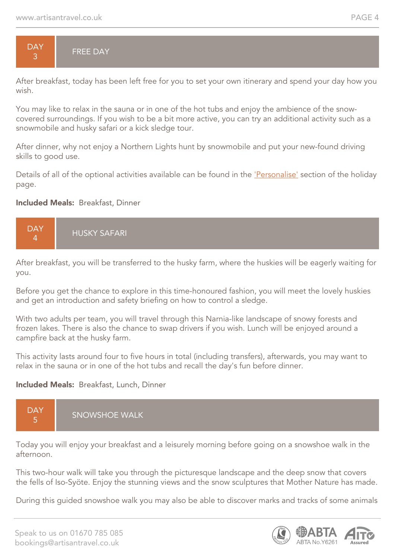

After breakfast, today has been left free for you to set your own itinerary and spend your day how you wish.

You may like to relax in the sauna or in one of the hot tubs and enjoy the ambience of the snowcovered surroundings. If you wish to be a bit more active, you can try an additional activity such as a snowmobile and husky safari or a kick sledge tour.

After dinner, why not enjoy a Northern Lights hunt by snowmobile and put your new-found driving skills to good use.

Details of all of the optional activities available can be found in the 'Personalise' section of the holiday page.

#### Included Meals: Breakfast, Dinner



After breakfast, you will be transferred to the husky farm, where the huskies will be eagerly waiting for you.

Before you get the chance to explore in this time-honoured fashion, you will meet the lovely huskies and get an introduction and safety briefing on how to control a sledge.

With two adults per team, you will travel through this Narnia-like landscape of snowy forests and frozen lakes. There is also the chance to swap drivers if you wish. Lunch will be enjoyed around a campfire back at the husky farm.

This activity lasts around four to five hours in total (including transfers), afterwards, you may want to relax in the sauna or in one of the hot tubs and recall the day's fun before dinner.

#### Included Meals: Breakfast, Lunch, Dinner



Today you will enjoy your breakfast and a leisurely morning before going on a snowshoe walk in the afternoon.

This two-hour walk will take you through the picturesque landscape and the deep snow that covers the fells of Iso-Syöte. Enjoy the stunning views and the snow sculptures that Mother Nature has made.

During this guided snowshoe walk you may also be able to discover marks and tracks of some animals

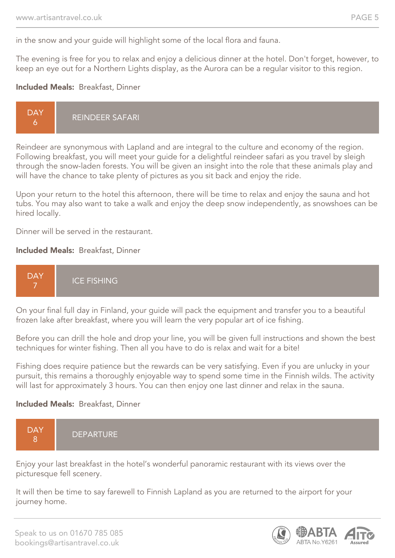in the snow and your guide will highlight some of the local flora and fauna.

The evening is free for you to relax and enjoy a delicious dinner at the hotel. Don't forget, however, to keep an eye out for a Northern Lights display, as the Aurora can be a regular visitor to this region.

#### Included Meals: Breakfast, Dinner

Reindeer are synonymous with Lapland and are integral to the culture and economy of the region. Following breakfast, you will meet your guide for a delightful reindeer safari as you travel by sleigh through the snow-laden forests. You will be given an insight into the role that these animals play and will have the chance to take plenty of pictures as you sit back and enjoy the ride.

Upon your return to the hotel this afternoon, there will be time to relax and enjoy the sauna and hot tubs. You may also want to take a walk and enjoy the deep snow independently, as snowshoes can be hired locally.

Dinner will be served in the restaurant.

#### Included Meals: Breakfast, Dinner



On your final full day in Finland, your guide will pack the equipment and transfer you to a beautiful frozen lake after breakfast, where you will learn the very popular art of ice fishing.

Before you can drill the hole and drop your line, you will be given full instructions and shown the best techniques for winter fishing. Then all you have to do is relax and wait for a bite!

Fishing does require patience but the rewards can be very satisfying. Even if you are unlucky in your pursuit, this remains a thoroughly enjoyable way to spend some time in the Finnish wilds. The activity will last for approximately 3 hours. You can then enjoy one last dinner and relax in the sauna.

#### Included Meals: Breakfast, Dinner



Enjoy your last breakfast in the hotel's wonderful panoramic restaurant with its views over the picturesque fell scenery.

It will then be time to say farewell to Finnish Lapland as you are returned to the airport for your journey home.

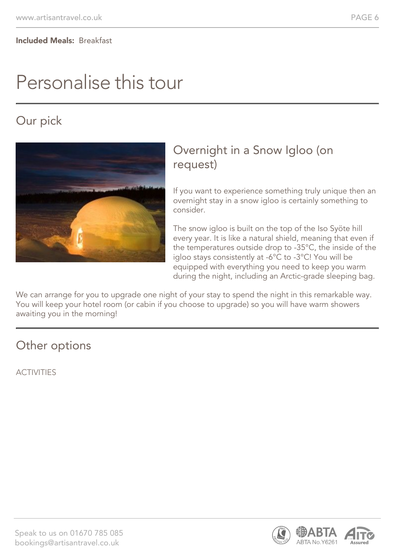## Personalise this tour

### Our pick



#### Overnight in a Snow Igloo (on request)

If you want to experience something truly unique then an overnight stay in a snow igloo is certainly something to consider.

The snow igloo is built on the top of the Iso Syöte hill every year. It is like a natural shield, meaning that even if the temperatures outside drop to -35°C, the inside of the igloo stays consistently at -6°C to -3°C! You will be equipped with everything you need to keep you warm during the night, including an Arctic-grade sleeping bag.

We can arrange for you to upgrade one night of your stay to spend the night in this remarkable way. You will keep your hotel room (or cabin if you choose to upgrade) so you will have warm showers awaiting you in the morning!

#### Other options

ACTIVITIES

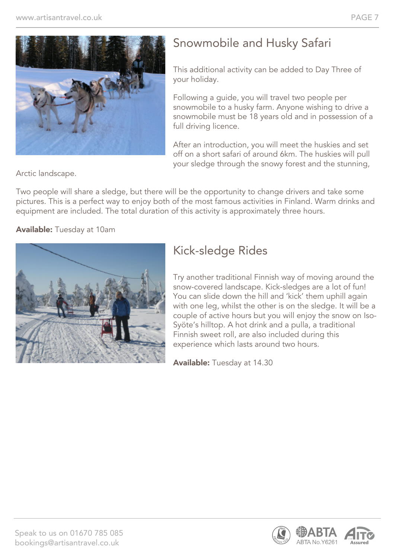

### Snowmobile and Husky Safari

This additional activity can be added to Day Three of your holiday.

Following a guide, you will travel two people per snowmobile to a husky farm. Anyone wishing to drive a snowmobile must be 18 years old and in possession of a full driving licence.

After an introduction, you will meet the huskies and set off on a short safari of around 6km. The huskies will pull your sledge through the snowy forest and the stunning,

Arctic landscape.

Two people will share a sledge, but there will be the opportunity to change drivers and take some pictures. This is a perfect way to enjoy both of the most famous activities in Finland. Warm drinks and equipment are included. The total duration of this activity is approximately three hours.

Available: Tuesday at 10am



### Kick-sledge Rides

Try another traditional Finnish way of moving around the snow-covered landscape. Kick-sledges are a lot of fun! You can slide down the hill and 'kick' them uphill again with one leg, whilst the other is on the sledge. It will be a couple of active hours but you will enjoy the snow on Iso-Syöte's hilltop. A hot drink and a pulla, a traditional Finnish sweet roll, are also included during this experience which lasts around two hours.

Available: Tuesday at 14.30

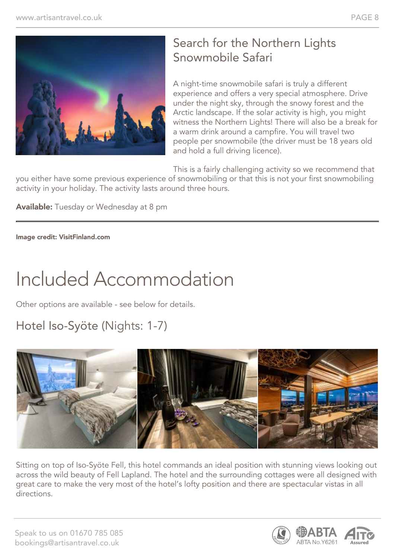

### Search for the Northern Lights Snowmobile Safari

A night-time snowmobile safari is truly a different experience and offers a very special atmosphere. Drive under the night sky, through the snowy forest and the Arctic landscape. If the solar activity is high, you might witness the Northern Lights! There will also be a break for a warm drink around a campfire. You will travel two people per snowmobile (the driver must be 18 years old and hold a full driving licence).

This is a fairly challenging activity so we recommend that

you either have some previous experience of snowmobiling or that this is not your first snowmobiling activity in your holiday. The activity lasts around three hours.

Available: Tuesday or Wednesday at 8 pm

Image credit: VisitFinland.com

## Included Accommodation

Other options are available - see below for details.

### Hotel Iso-Syöte (Nights: 1-7)



Sitting on top of Iso-Syöte Fell, this hotel commands an ideal position with stunning views looking out across the wild beauty of Fell Lapland. The hotel and the surrounding cottages were all designed with great care to make the very most of the hotel's lofty position and there are spectacular vistas in all directions.

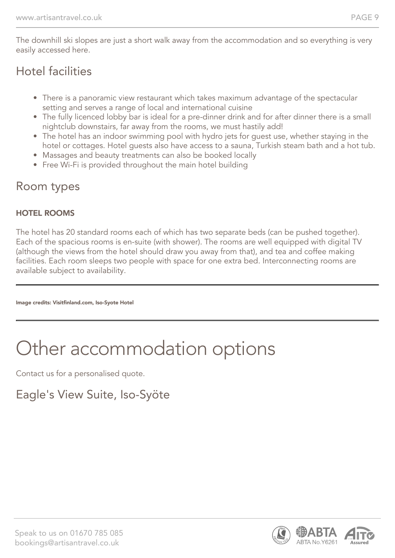The downhill ski slopes are just a short walk away from the accommodation and so everything is very easily accessed here.

#### Hotel facilities

- There is a panoramic view restaurant which takes maximum advantage of the spectacular setting and serves a range of local and international cuisine
- The fully licenced lobby bar is ideal for a pre-dinner drink and for after dinner there is a small nightclub downstairs, far away from the rooms, we must hastily add!
- The hotel has an indoor swimming pool with hydro jets for guest use, whether staying in the hotel or cottages. Hotel guests also have access to a sauna, Turkish steam bath and a hot tub.
- Massages and beauty treatments can also be booked locally
- Free Wi-Fi is provided throughout the main hotel building

#### Room types

#### HOTEL ROOMS

The hotel has 20 standard rooms each of which has two separate beds (can be pushed together). Each of the spacious rooms is en-suite (with shower). The rooms are well equipped with digital TV (although the views from the hotel should draw you away from that), and tea and coffee making facilities. Each room sleeps two people with space for one extra bed. Interconnecting rooms are available subject to availability.

Image credits: Visitfinland.com, Iso-Syote Hotel

# Other accommodation options

Contact us for a personalised quote.

### Eagle's View Suite, Iso-Syöte

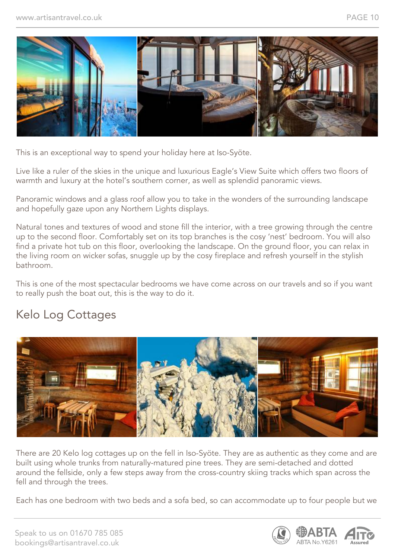

This is an exceptional way to spend your holiday here at Iso-Syöte.

Live like a ruler of the skies in the unique and luxurious Eagle's View Suite which offers two floors of warmth and luxury at the hotel's southern corner, as well as splendid panoramic views.

Panoramic windows and a glass roof allow you to take in the wonders of the surrounding landscape and hopefully gaze upon any Northern Lights displays.

Natural tones and textures of wood and stone fill the interior, with a tree growing through the centre up to the second floor. Comfortably set on its top branches is the cosy 'nest' bedroom. You will also find a private hot tub on this floor, overlooking the landscape. On the ground floor, you can relax in the living room on wicker sofas, snuggle up by the cosy fireplace and refresh yourself in the stylish bathroom.

This is one of the most spectacular bedrooms we have come across on our travels and so if you want to really push the boat out, this is the way to do it.

#### Kelo Log Cottages



There are 20 Kelo log cottages up on the fell in Iso-Syöte. They are as authentic as they come and are built using whole trunks from naturally-matured pine trees. They are semi-detached and dotted around the fellside, only a few steps away from the cross-country skiing tracks which span across the fell and through the trees.

Each has one bedroom with two beds and a sofa bed, so can accommodate up to four people but we

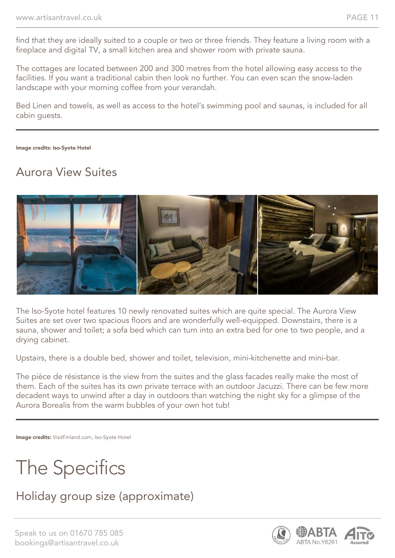find that they are ideally suited to a couple or two or three friends. They feature a living room with a fireplace and digital TV, a small kitchen area and shower room with private sauna.

The cottages are located between 200 and 300 metres from the hotel allowing easy access to the facilities. If you want a traditional cabin then look no further. You can even scan the snow-laden landscape with your morning coffee from your verandah.

Bed Linen and towels, as well as access to the hotel's swimming pool and saunas, is included for all cabin guests.

Image credits: Iso-Syote Hotel

#### Aurora View Suites



The Iso-Syote hotel features 10 newly renovated suites which are quite special. The Aurora View Suites are set over two spacious floors and are wonderfully well-equipped. Downstairs, there is a sauna, shower and toilet; a sofa bed which can turn into an extra bed for one to two people, and a drying cabinet.

Upstairs, there is a double bed, shower and toilet, television, mini-kitchenette and mini-bar.

The pièce de résistance is the view from the suites and the glass facades really make the most of them. Each of the suites has its own private terrace with an outdoor Jacuzzi. There can be few more decadent ways to unwind after a day in outdoors than watching the night sky for a glimpse of the Aurora Borealis from the warm bubbles of your own hot tub!

Image credits: VisitFinland.com, Iso-Syote Hotel

## The Specifics

### Holiday group size (approximate)